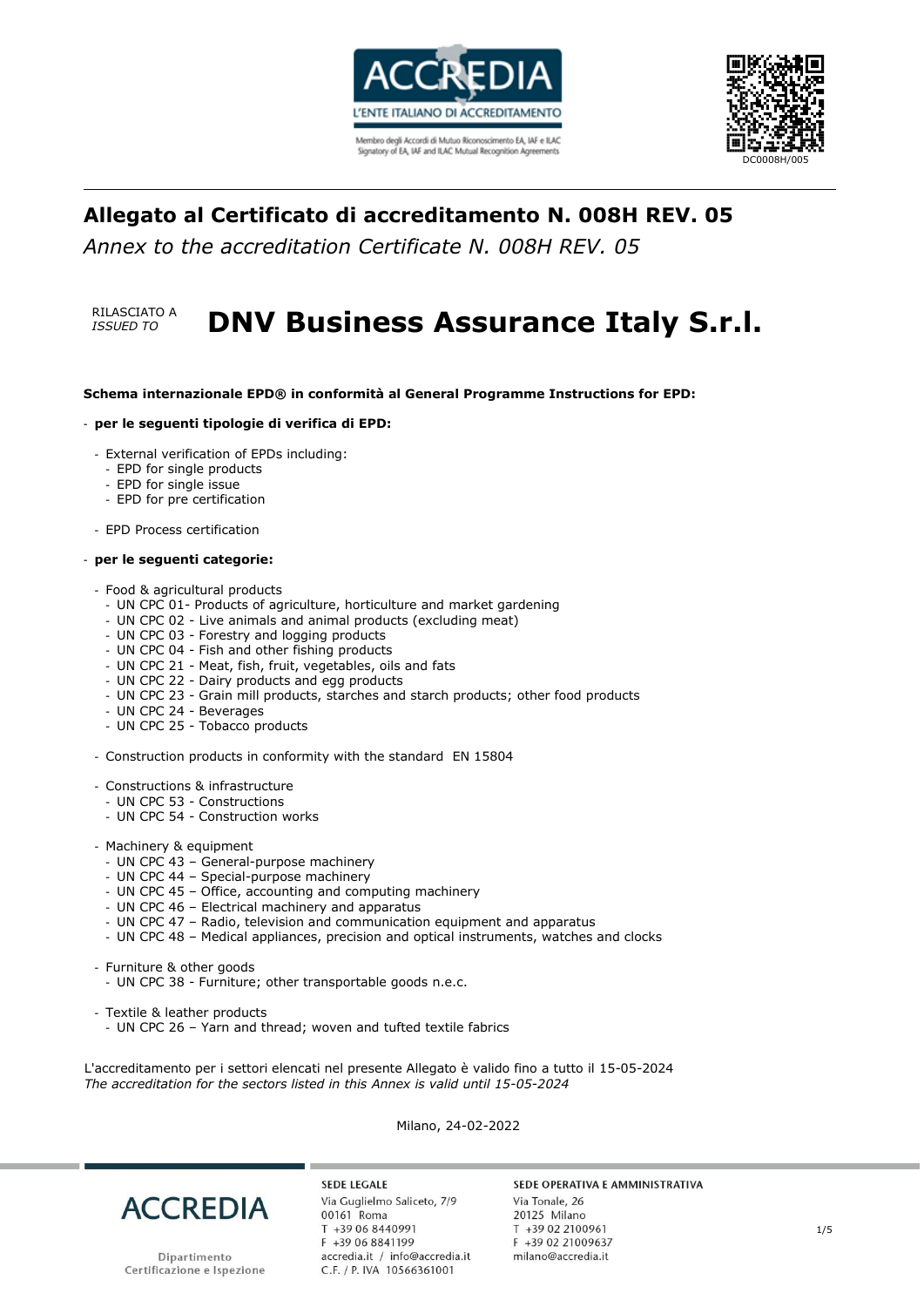



### **Allegato al Certificato di accreditamento N. 008H REV. 05**

*Annex to the accreditation Certificate N. 008H REV. 05*

RILASCIATO A

# **RILASCIATO A DNV Business Assurance Italy S.r.l.**

### **Schema internazionale EPD® in conformità al General Programme Instructions for EPD:**

### - **per le seguenti tipologie di verifica di EPD:**

- External verification of EPDs including:
	- EPD for single products
	- EPD for single issue
	- EPD for pre certification

- EPD Process certification

#### - **per le seguenti categorie:**

### - Food & agricultural products

- UN CPC 01- Products of agriculture, horticulture and market gardening
- UN CPC 02 Live animals and animal products (excluding meat)
- UN CPC 03 Forestry and logging products
- UN CPC 04 Fish and other fishing products
- UN CPC 21 Meat, fish, fruit, vegetables, oils and fats
- UN CPC 22 Dairy products and egg products
- UN CPC 23 Grain mill products, starches and starch products; other food products
- UN CPC 24 Beverages
- UN CPC 25 Tobacco products
- Construction products in conformity with the standard EN 15804
- Constructions & infrastructure
- UN CPC 53 Constructions
- UN CPC 54 Construction works
- Machinery & equipment
	- UN CPC 43 General-purpose machinery
	- UN CPC 44 Special-purpose machinery
	- UN CPC 45 Office, accounting and computing machinery
	- UN CPC 46 Electrical machinery and apparatus
	- UN CPC 47 Radio, television and communication equipment and apparatus
	- UN CPC 48 Medical appliances, precision and optical instruments, watches and clocks
- Furniture & other goods
	- UN CPC 38 Furniture; other transportable goods n.e.c.
- Textile & leather products
- UN CPC 26 Yarn and thread; woven and tufted textile fabrics

L'accreditamento per i settori elencati nel presente Allegato è valido fino a tutto il 15-05-2024 *The accreditation for the sectors listed in this Annex is valid until 15-05-2024*

Milano, 24-02-2022



**SEDE LEGALE** Via Guglielmo Saliceto, 7/9 00161 Roma T +39 06 8440991 F +39 06 8841199 accredia.it / info@accredia.it C.F. / P. IVA 10566361001

### SEDE OPERATIVA E AMMINISTRATIVA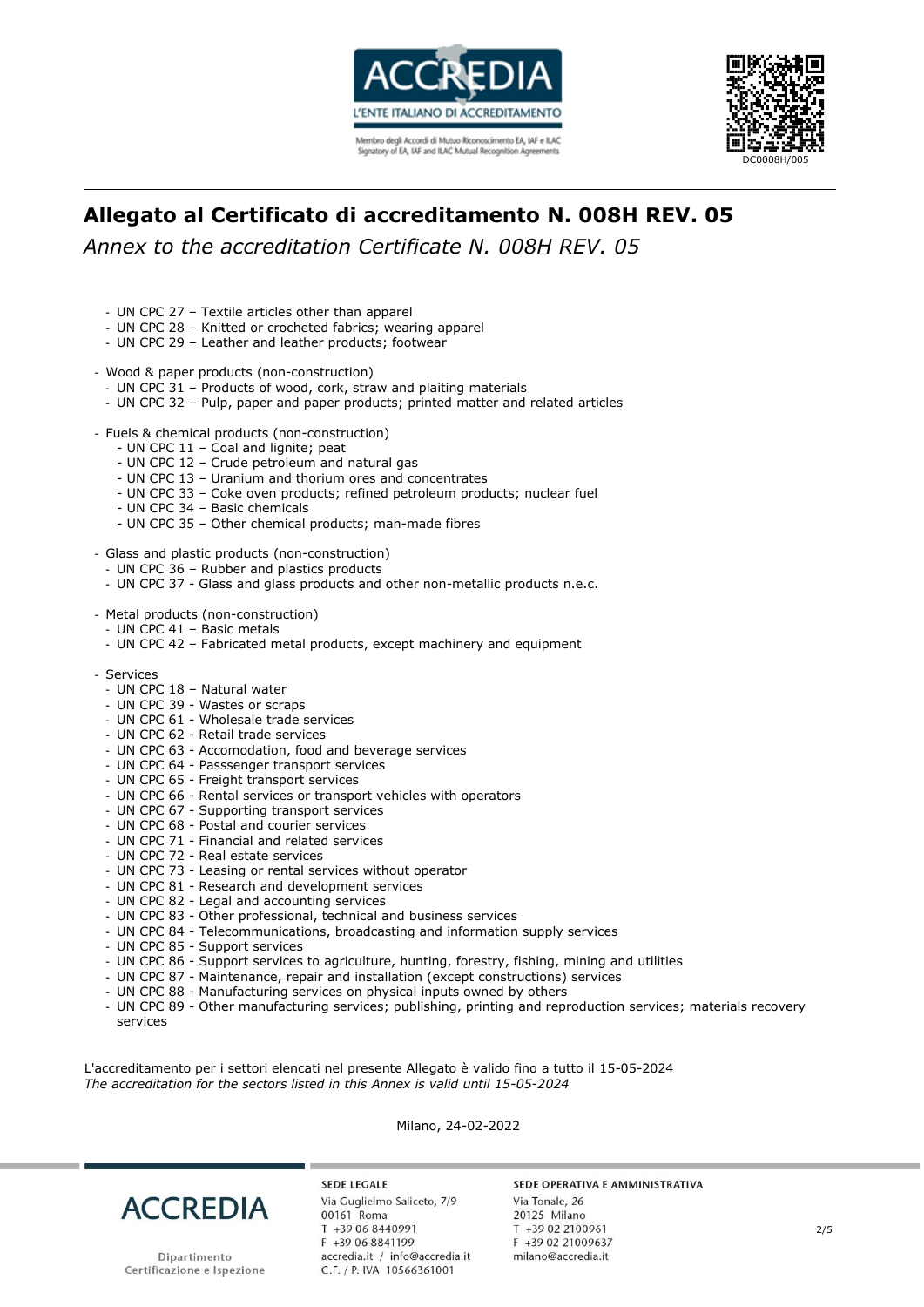



# **Allegato al Certificato di accreditamento N. 008H REV. 05**

*Annex to the accreditation Certificate N. 008H REV. 05*

- UN CPC 27 Textile articles other than apparel
- UN CPC 28 Knitted or crocheted fabrics; wearing apparel
- UN CPC 29 Leather and leather products; footwear
- Wood & paper products (non-construction)
	- UN CPC 31 Products of wood, cork, straw and plaiting materials
	- UN CPC 32 Pulp, paper and paper products; printed matter and related articles
- Fuels & chemical products (non-construction)
	- UN CPC 11 Coal and lignite; peat
	- UN CPC 12 Crude petroleum and natural gas
	- UN CPC 13 Uranium and thorium ores and concentrates
	- UN CPC 33 Coke oven products; refined petroleum products; nuclear fuel
	- UN CPC 34 Basic chemicals
	- UN CPC 35 Other chemical products; man-made fibres
- Glass and plastic products (non-construction)
	- UN CPC 36 Rubber and plastics products
	- UN CPC 37 Glass and glass products and other non-metallic products n.e.c.
- Metal products (non-construction)
	- UN CPC 41 Basic metals
	- UN CPC 42 Fabricated metal products, except machinery and equipment
- Services
	- UN CPC 18 Natural water
	- UN CPC 39 Wastes or scraps
	- UN CPC 61 Wholesale trade services
	- UN CPC 62 Retail trade services
	- UN CPC 63 Accomodation, food and beverage services
	- UN CPC 64 Passsenger transport services
	- UN CPC 65 Freight transport services
	- UN CPC 66 Rental services or transport vehicles with operators
	- UN CPC 67 Supporting transport services
	- UN CPC 68 Postal and courier services
	- UN CPC 71 Financial and related services
	- UN CPC 72 Real estate services
	- UN CPC 73 Leasing or rental services without operator
	- UN CPC 81 Research and development services
	- UN CPC 82 Legal and accounting services
	- UN CPC 83 Other professional, technical and business services
	- UN CPC 84 Telecommunications, broadcasting and information supply services
	- UN CPC 85 Support services
	- UN CPC 86 Support services to agriculture, hunting, forestry, fishing, mining and utilities
	- UN CPC 87 Maintenance, repair and installation (except constructions) services
	- UN CPC 88 Manufacturing services on physical inputs owned by others
	- UN CPC 89 Other manufacturing services; publishing, printing and reproduction services; materials recovery services

L'accreditamento per i settori elencati nel presente Allegato è valido fino a tutto il 15-05-2024 *The accreditation for the sectors listed in this Annex is valid until 15-05-2024*

Milano, 24-02-2022



Dipartimento Certificazione e Ispezione

**SEDE LEGALE** Via Guglielmo Saliceto, 7/9 00161 Roma T +39 06 8440991 F +39 06 8841199 accredia.it / info@accredia.it C.F. / P. IVA 10566361001

### SEDE OPERATIVA E AMMINISTRATIVA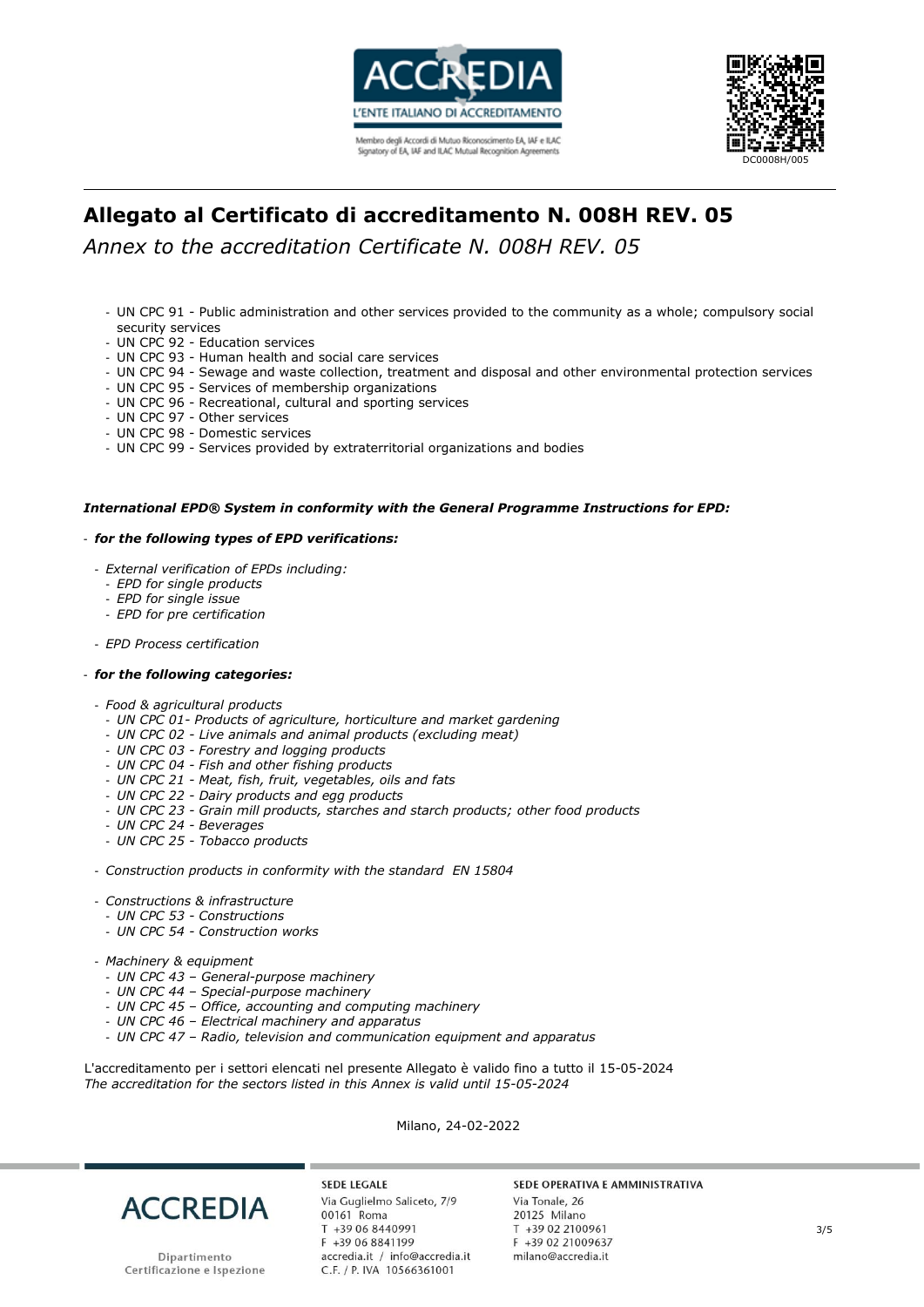



# **Allegato al Certificato di accreditamento N. 008H REV. 05**

*Annex to the accreditation Certificate N. 008H REV. 05*

- UN CPC 91 Public administration and other services provided to the community as a whole; compulsory social security services
- UN CPC 92 Education services
- UN CPC 93 Human health and social care services
- UN CPC 94 Sewage and waste collection, treatment and disposal and other environmental protection services
- UN CPC 95 Services of membership organizations
- UN CPC 96 Recreational, cultural and sporting services
- UN CPC 97 Other services
- UN CPC 98 Domestic services
- UN CPC 99 Services provided by extraterritorial organizations and bodies

### *International EPD® System in conformity with the General Programme Instructions for EPD:*

#### - *for the following types of EPD verifications:*

- *External verification of EPDs including:*
	- *EPD for single products*
	- *EPD for single issue*
	- *EPD for pre certification*
- *EPD Process certification*

#### - *for the following categories:*

- *Food & agricultural products*
- *UN CPC 01- Products of agriculture, horticulture and market gardening*
- *UN CPC 02 - Live animals and animal products (excluding meat)*
- *UN CPC 03 - Forestry and logging products*
- *UN CPC 04 - Fish and other fishing products*
- *UN CPC 21 - Meat, fish, fruit, vegetables, oils and fats*
- *UN CPC 22 - Dairy products and egg products*
- *UN CPC 23 - Grain mill products, starches and starch products; other food products*
- *UN CPC 24 - Beverages*
- *UN CPC 25 - Tobacco products*
- *Construction products in conformity with the standard EN 15804*
- *Constructions & infrastructure*
- *UN CPC 53 - Constructions*
- *UN CPC 54 - Construction works*
- *Machinery & equipment*
	- *UN CPC 43 – General-purpose machinery*
	- *UN CPC 44 – Special-purpose machinery*
	- *UN CPC 45 – Office, accounting and computing machinery*
	- *UN CPC 46 – Electrical machinery and apparatus*
	- *UN CPC 47 – Radio, television and communication equipment and apparatus*

L'accreditamento per i settori elencati nel presente Allegato è valido fino a tutto il 15-05-2024 *The accreditation for the sectors listed in this Annex is valid until 15-05-2024*

Milano, 24-02-2022



**SEDE LEGALE** Via Guglielmo Saliceto, 7/9 00161 Roma T +39 06 8440991 F +39 06 8841199 accredia.it / info@accredia.it<br>C.F. / P. IVA 10566361001

### SEDE OPERATIVA E AMMINISTRATIVA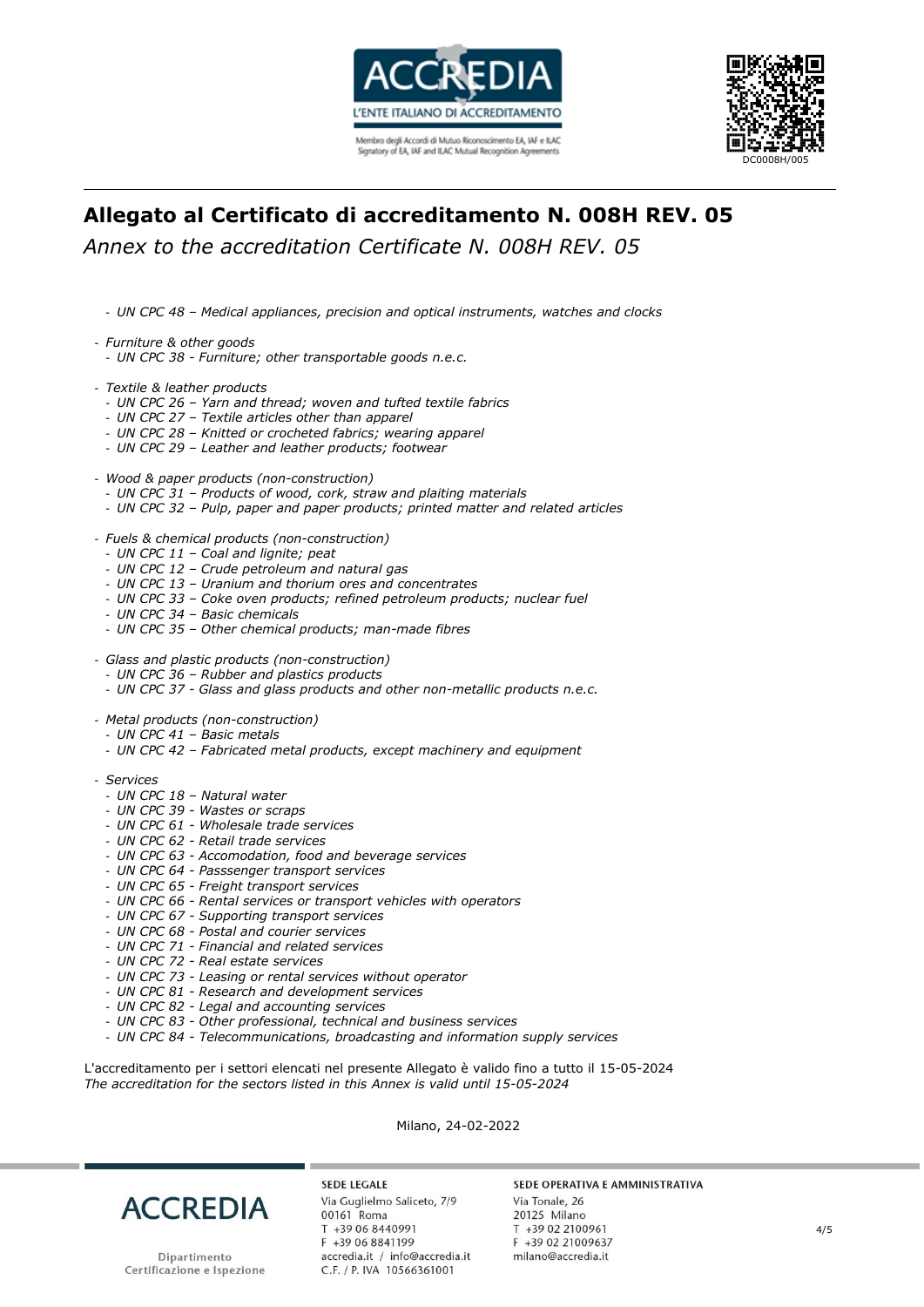



# **Allegato al Certificato di accreditamento N. 008H REV. 05**

*Annex to the accreditation Certificate N. 008H REV. 05*

- *UN CPC 48 – Medical appliances, precision and optical instruments, watches and clocks*
- *Furniture & other goods*
	- *UN CPC 38 - Furniture; other transportable goods n.e.c.*
- *Textile & leather products*
	- *UN CPC 26 – Yarn and thread; woven and tufted textile fabrics*
	- *UN CPC 27 – Textile articles other than apparel*
	- *UN CPC 28 – Knitted or crocheted fabrics; wearing apparel*
	- *UN CPC 29 – Leather and leather products; footwear*
- *Wood & paper products (non-construction)*
	- *UN CPC 31 – Products of wood, cork, straw and plaiting materials*
	- *UN CPC 32 – Pulp, paper and paper products; printed matter and related articles*
- *Fuels & chemical products (non-construction)*
- *UN CPC 11 – Coal and lignite; peat*
- *UN CPC 12 – Crude petroleum and natural gas*
- *UN CPC 13 – Uranium and thorium ores and concentrates*
- *UN CPC 33 – Coke oven products; refined petroleum products; nuclear fuel*
- *UN CPC 34 – Basic chemicals*
- *UN CPC 35 – Other chemical products; man-made fibres*
- *Glass and plastic products (non-construction)*
- *UN CPC 36 – Rubber and plastics products*
- *UN CPC 37 - Glass and glass products and other non-metallic products n.e.c.*
- *Metal products (non-construction)*
	- *UN CPC 41 – Basic metals*
	- *UN CPC 42 – Fabricated metal products, except machinery and equipment*
- *Services*
	- *UN CPC 18 – Natural water*
	- *UN CPC 39 - Wastes or scraps*
	- *UN CPC 61 - Wholesale trade services*
	- *UN CPC 62 - Retail trade services*
	- *UN CPC 63 - Accomodation, food and beverage services*
	- *UN CPC 64 - Passsenger transport services*
	- *UN CPC 65 - Freight transport services*
	- *UN CPC 66 - Rental services or transport vehicles with operators*
	- *UN CPC 67 - Supporting transport services*
	- *UN CPC 68 - Postal and courier services*
	- *UN CPC 71 - Financial and related services*
	- *UN CPC 72 - Real estate services*
	- *UN CPC 73 - Leasing or rental services without operator*
	- *UN CPC 81 - Research and development services*
	- *UN CPC 82 - Legal and accounting services*
	- *UN CPC 83 - Other professional, technical and business services*
	- *UN CPC 84 - Telecommunications, broadcasting and information supply services*

L'accreditamento per i settori elencati nel presente Allegato è valido fino a tutto il 15-05-2024 *The accreditation for the sectors listed in this Annex is valid until 15-05-2024*

Milano, 24-02-2022



Dipartimento Certificazione e Ispezione

**SEDE LEGALE** Via Guglielmo Saliceto, 7/9 00161 Roma T +39 06 8440991 F +39 06 8841199 accredia.it / info@accredia.it<br>C.F. / P. IVA 10566361001

#### SEDE OPERATIVA E AMMINISTRATIVA